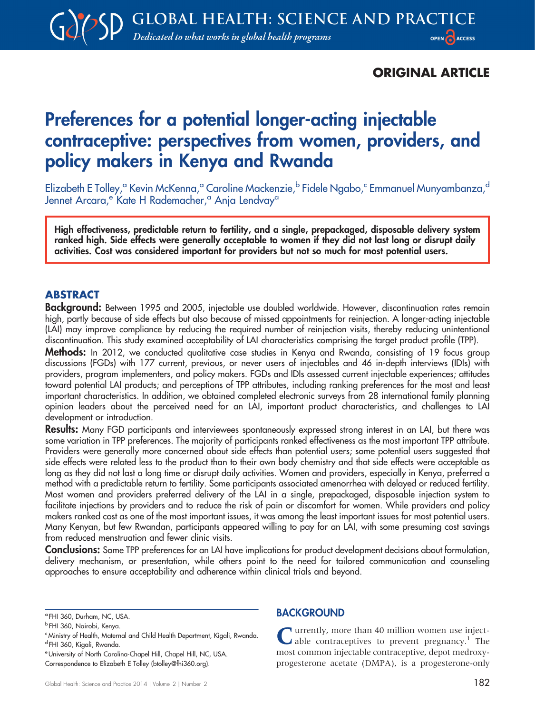## ORIGINAL ARTICLE

# Preferences for a potential longer-acting injectable contraceptive: perspectives from women, providers, and policy makers in Kenya and Rwanda

Elizabeth E Tolley,<sup>a</sup> Kevin McKenna,<sup>a</sup> Caroline Mackenzie,<sup>b</sup> Fidele Ngabo,<sup>c</sup> Emmanuel Munyambanza,<sup>d</sup> Jennet Arcara,<sup>e</sup> Kate H Rademacher,<sup>a</sup> Anja Lendvay<sup>a</sup>

High effectiveness, predictable return to fertility, and a single, prepackaged, disposable delivery system ranked high. Side effects were generally acceptable to women if they did not last long or disrupt daily activities. Cost was considered important for providers but not so much for most potential users.

### ABSTRACT

Background: Between 1995 and 2005, injectable use doubled worldwide. However, discontinuation rates remain high, partly because of side effects but also because of missed appointments for reinjection. A longer-acting injectable (LAI) may improve compliance by reducing the required number of reinjection visits, thereby reducing unintentional discontinuation. This study examined acceptability of LAI characteristics comprising the target product profile (TPP).

Methods: In 2012, we conducted qualitative case studies in Kenya and Rwanda, consisting of 19 focus group discussions (FGDs) with 177 current, previous, or never users of injectables and 46 in-depth interviews (IDIs) with providers, program implementers, and policy makers. FGDs and IDIs assessed current injectable experiences; attitudes toward potential LAI products; and perceptions of TPP attributes, including ranking preferences for the most and least important characteristics. In addition, we obtained completed electronic surveys from 28 international family planning opinion leaders about the perceived need for an LAI, important product characteristics, and challenges to LAI development or introduction.

Results: Many FGD participants and interviewees spontaneously expressed strong interest in an LAI, but there was some variation in TPP preferences. The majority of participants ranked effectiveness as the most important TPP attribute. Providers were generally more concerned about side effects than potential users; some potential users suggested that side effects were related less to the product than to their own body chemistry and that side effects were acceptable as long as they did not last a long time or disrupt daily activities. Women and providers, especially in Kenya, preferred a method with a predictable return to fertility. Some participants associated amenorrhea with delayed or reduced fertility. Most women and providers preferred delivery of the LAI in a single, prepackaged, disposable injection system to facilitate injections by providers and to reduce the risk of pain or discomfort for women. While providers and policy makers ranked cost as one of the most important issues, it was among the least important issues for most potential users. Many Kenyan, but few Rwandan, participants appeared willing to pay for an LAI, with some presuming cost savings from reduced menstruation and fewer clinic visits.

Conclusions: Some TPP preferences for an LAI have implications for product development decisions about formulation, delivery mechanism, or presentation, while others point to the need for tailored communication and counseling approaches to ensure acceptability and adherence within clinical trials and beyond.

eUniversity of North Carolina-Chapel Hill, Chapel Hill, NC, USA. Correspondence to Elizabeth E Tolley (btolley@fhi360.org).

### **BACKGROUND**

Gurrently, more than 40 million women use inject-<br>
able contraceptives to prevent pregnancy.<sup>1</sup> The most common injectable contraceptive, depot medroxyprogesterone acetate (DMPA), is a progesterone-only

<sup>a</sup> FHI 360, Durham, NC, USA.

<sup>b</sup> FHI 360, Nairobi, Kenya.

<sup>&</sup>lt;sup>c</sup> Ministry of Health, Maternal and Child Health Department, Kigali, Rwanda. d FHI 360, Kigali, Rwanda.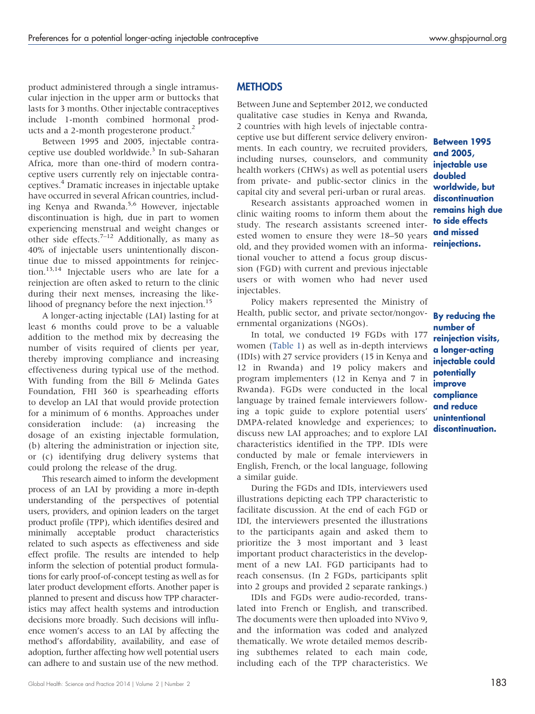product administered through a single intramuscular injection in the upper arm or buttocks that lasts for 3 months. Other injectable contraceptives include 1-month combined hormonal products and a 2-month progesterone product.<sup>2</sup>

Between 1995 and 2005, injectable contraceptive use doubled worldwide. $3$  In sub-Saharan Africa, more than one-third of modern contraceptive users currently rely on injectable contraceptives.4 Dramatic increases in injectable uptake have occurred in several African countries, including Kenya and Rwanda.5,6 However, injectable discontinuation is high, due in part to women experiencing menstrual and weight changes or other side effects.<sup>7-12</sup> Additionally, as many as 40% of injectable users unintentionally discontinue due to missed appointments for reinjection.13,14 Injectable users who are late for a reinjection are often asked to return to the clinic during their next menses, increasing the likelihood of pregnancy before the next injection.<sup>15</sup>

A longer-acting injectable (LAI) lasting for at least 6 months could prove to be a valuable addition to the method mix by decreasing the number of visits required of clients per year, thereby improving compliance and increasing effectiveness during typical use of the method. With funding from the Bill & Melinda Gates Foundation, FHI 360 is spearheading efforts to develop an LAI that would provide protection for a minimum of 6 months. Approaches under consideration include: (a) increasing the dosage of an existing injectable formulation, (b) altering the administration or injection site, or (c) identifying drug delivery systems that could prolong the release of the drug.

This research aimed to inform the development process of an LAI by providing a more in-depth understanding of the perspectives of potential users, providers, and opinion leaders on the target product profile (TPP), which identifies desired and minimally acceptable product characteristics related to such aspects as effectiveness and side effect profile. The results are intended to help inform the selection of potential product formulations for early proof-of-concept testing as well as for later product development efforts. Another paper is planned to present and discuss how TPP characteristics may affect health systems and introduction decisions more broadly. Such decisions will influence women's access to an LAI by affecting the method's affordability, availability, and ease of adoption, further affecting how well potential users can adhere to and sustain use of the new method.

### **METHODS**

Between June and September 2012, we conducted qualitative case studies in Kenya and Rwanda, 2 countries with high levels of injectable contraceptive use but different service delivery environments. In each country, we recruited providers, including nurses, counselors, and community health workers (CHWs) as well as potential users from private- and public-sector clinics in the capital city and several peri-urban or rural areas.

Research assistants approached women in clinic waiting rooms to inform them about the study. The research assistants screened interested women to ensure they were 18–50 years old, and they provided women with an informational voucher to attend a focus group discussion (FGD) with current and previous injectable users or with women who had never used injectables.

Policy makers represented the Ministry of Health, public sector, and private sector/nongovernmental organizations (NGOs).

In total, we conducted 19 FGDs with 177 women [\(Table 1](#page-2-0)) as well as in-depth interviews (IDIs) with 27 service providers (15 in Kenya and 12 in Rwanda) and 19 policy makers and program implementers (12 in Kenya and 7 in Rwanda). FGDs were conducted in the local language by trained female interviewers following a topic guide to explore potential users' DMPA-related knowledge and experiences; to discuss new LAI approaches; and to explore LAI characteristics identified in the TPP. IDIs were conducted by male or female interviewers in English, French, or the local language, following a similar guide.

During the FGDs and IDIs, interviewers used illustrations depicting each TPP characteristic to facilitate discussion. At the end of each FGD or IDI, the interviewers presented the illustrations to the participants again and asked them to prioritize the 3 most important and 3 least important product characteristics in the development of a new LAI. FGD participants had to reach consensus. (In 2 FGDs, participants split into 2 groups and provided 2 separate rankings.)

IDIs and FGDs were audio-recorded, translated into French or English, and transcribed. The documents were then uploaded into NVivo 9, and the information was coded and analyzed thematically. We wrote detailed memos describing subthemes related to each main code, including each of the TPP characteristics. We

Between 1995 and 2005, injectable use doubled worldwide, but discontinuation remains high due to side effects and missed reinjections.

By reducing the number of reinjection visits, a longer-acting injectable could potentially improve compliance and reduce unintentional discontinuation.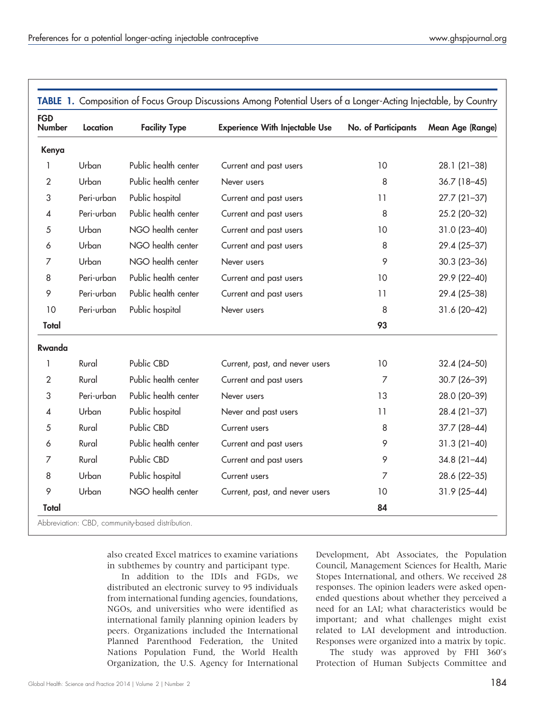<span id="page-2-0"></span>

| <b>FGD</b>     |            |                      |                                       |                     |                  |
|----------------|------------|----------------------|---------------------------------------|---------------------|------------------|
| <b>Number</b>  | Location   | <b>Facility Type</b> | <b>Experience With Injectable Use</b> | No. of Participants | Mean Age (Range) |
| Kenya          |            |                      |                                       |                     |                  |
| 1              | Urban      | Public health center | Current and past users                | 10                  | $28.1(21-38)$    |
| 2              | Urban      | Public health center | Never users                           | 8                   | 36.7 (18-45)     |
| 3              | Peri-urban | Public hospital      | Current and past users                | 11                  | $27.7(21-37)$    |
| 4              | Peri-urban | Public health center | Current and past users                | 8                   | 25.2 (20-32)     |
| 5              | Urban      | NGO health center    | Current and past users                | 10                  | $31.0(23 - 40)$  |
| 6              | Urban      | NGO health center    | Current and past users                | 8                   | 29.4 (25-37)     |
| 7              | Urban      | NGO health center    | Never users                           | 9                   | $30.3(23 - 36)$  |
| 8              | Peri-urban | Public health center | Current and past users                | 10                  | 29.9 (22-40)     |
| 9              | Peri-urban | Public health center | Current and past users                | 11                  | 29.4 (25-38)     |
| 10             | Peri-urban | Public hospital      | Never users                           | 8                   | $31.6(20-42)$    |
| Total          |            |                      |                                       | 93                  |                  |
| Rwanda         |            |                      |                                       |                     |                  |
| 1              | Rural      | Public CBD           | Current, past, and never users        | 10                  | 32.4 (24-50)     |
| $\overline{2}$ | Rural      | Public health center | Current and past users                | $\overline{7}$      | 30.7 (26-39)     |
| 3              | Peri-urban | Public health center | Never users                           | 13                  | 28.0 (20-39)     |
| 4              | Urban      | Public hospital      | Never and past users                  | 11                  | $28.4(21-37)$    |
| 5              | Rural      | Public CBD           | Current users                         | 8                   | 37.7 (28-44)     |
| 6              | Rural      | Public health center | Current and past users                | 9                   | $31.3(21-40)$    |
| 7              | Rural      | Public CBD           | Current and past users                | 9                   | $34.8(21 - 44)$  |
| 8              | Urban      | Public hospital      | Current users                         | $\overline{7}$      | 28.6 (22-35)     |
| 9              | Urban      | NGO health center    | Current, past, and never users        | 10                  | $31.9(25 - 44)$  |
| Total          |            |                      |                                       | 84                  |                  |

also created Excel matrices to examine variations in subthemes by country and participant type.

In addition to the IDIs and FGDs, we distributed an electronic survey to 95 individuals from international funding agencies, foundations, NGOs, and universities who were identified as international family planning opinion leaders by peers. Organizations included the International Planned Parenthood Federation, the United Nations Population Fund, the World Health Organization, the U.S. Agency for International Development, Abt Associates, the Population Council, Management Sciences for Health, Marie Stopes International, and others. We received 28 responses. The opinion leaders were asked openended questions about whether they perceived a need for an LAI; what characteristics would be important; and what challenges might exist related to LAI development and introduction. Responses were organized into a matrix by topic.

The study was approved by FHI 360's Protection of Human Subjects Committee and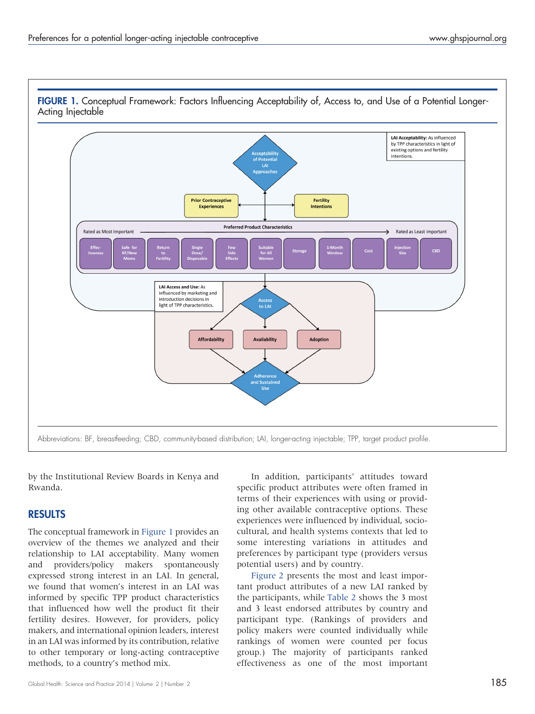

by the Institutional Review Boards in Kenya and Rwanda.

### RESULTS

The conceptual framework in Figure 1 provides an overview of the themes we analyzed and their relationship to LAI acceptability. Many women and providers/policy makers spontaneously expressed strong interest in an LAI. In general, we found that women's interest in an LAI was informed by specific TPP product characteristics that influenced how well the product fit their fertility desires. However, for providers, policy makers, and international opinion leaders, interest in an LAI was informed by its contribution, relative to other temporary or long-acting contraceptive methods, to a country's method mix.

In addition, participants' attitudes toward specific product attributes were often framed in terms of their experiences with using or providing other available contraceptive options. These experiences were influenced by individual, sociocultural, and health systems contexts that led to some interesting variations in attitudes and preferences by participant type (providers versus potential users) and by country.

[Figure 2](#page-4-0) presents the most and least important product attributes of a new LAI ranked by the participants, while [Table 2](#page-5-0) shows the 3 most and 3 least endorsed attributes by country and participant type. (Rankings of providers and policy makers were counted individually while rankings of women were counted per focus group.) The majority of participants ranked effectiveness as one of the most important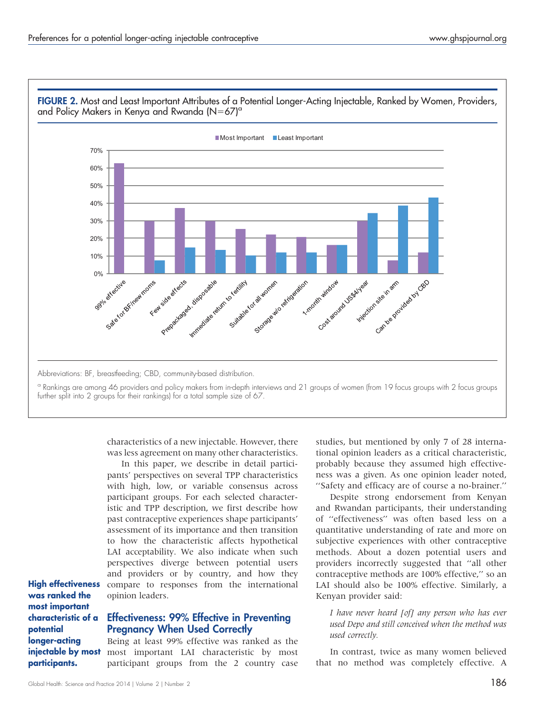

<span id="page-4-0"></span>FIGURE 2. Most and Least Important Attributes of a Potential Longer-Acting Injectable, Ranked by Women, Providers,

characteristics of a new injectable. However, there was less agreement on many other characteristics.

In this paper, we describe in detail participants' perspectives on several TPP characteristics with high, low, or variable consensus across participant groups. For each selected characteristic and TPP description, we first describe how past contraceptive experiences shape participants' assessment of its importance and then transition to how the characteristic affects hypothetical LAI acceptability. We also indicate when such perspectives diverge between potential users and providers or by country, and how they compare to responses from the international opinion leaders.

High effectiveness was ranked the most important characteristic of a potential longer-acting injectable by most participants.

### Effectiveness: 99% Effective in Preventing Pregnancy When Used Correctly

Being at least 99% effective was ranked as the most important LAI characteristic by most participant groups from the 2 country case studies, but mentioned by only 7 of 28 international opinion leaders as a critical characteristic, probably because they assumed high effectiveness was a given. As one opinion leader noted, ''Safety and efficacy are of course a no-brainer.''

Despite strong endorsement from Kenyan and Rwandan participants, their understanding of ''effectiveness'' was often based less on a quantitative understanding of rate and more on subjective experiences with other contraceptive methods. About a dozen potential users and providers incorrectly suggested that ''all other contraceptive methods are 100% effective,'' so an LAI should also be 100% effective. Similarly, a Kenyan provider said:

I have never heard [of] any person who has ever used Depo and still conceived when the method was used correctly.

In contrast, twice as many women believed that no method was completely effective. A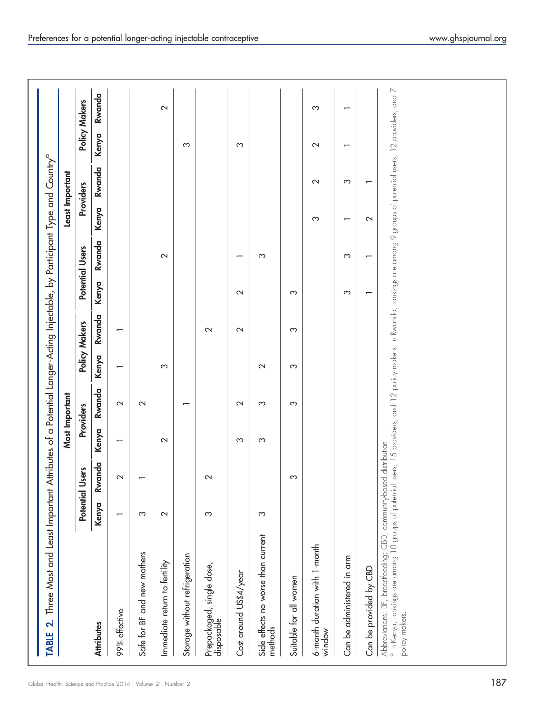|                          |                        |                          | Most Important                                                       |                          |                          |                          |                          |        | Least Important  |                 |                                                                                                                                                                                            |
|--------------------------|------------------------|--------------------------|----------------------------------------------------------------------|--------------------------|--------------------------|--------------------------|--------------------------|--------|------------------|-----------------|--------------------------------------------------------------------------------------------------------------------------------------------------------------------------------------------|
|                          | <b>Potential Users</b> | Providers                |                                                                      |                          | Policy Makers            |                          | <b>Potential Users</b>   |        | <b>Providers</b> |                 | Policy Makers                                                                                                                                                                              |
| $\sigma$<br>Keny         | Rwanda                 | Kenya                    | Rwanda                                                               | Kenya                    | Rwanda                   | Kenya                    | Rwanda                   | Kenya  | Rwanda           | Kenya           | Rwanda                                                                                                                                                                                     |
| $\overline{\phantom{0}}$ | $\sim$                 | $\overline{\phantom{0}}$ | $\mathbf{\Omega}$                                                    | $\overline{\phantom{0}}$ | $\overline{\phantom{0}}$ |                          |                          |        |                  |                 |                                                                                                                                                                                            |
| S                        |                        |                          | $\sim$                                                               |                          |                          |                          |                          |        |                  |                 |                                                                                                                                                                                            |
| $\sim$                   |                        | $\sim$                   |                                                                      | S                        |                          |                          | $\sim$                   |        |                  |                 | $\sim$                                                                                                                                                                                     |
|                          |                        |                          | $\overline{\phantom{0}}$                                             |                          |                          |                          |                          |        |                  | S               |                                                                                                                                                                                            |
| S                        | $\sim$                 |                          |                                                                      |                          | $\sim$                   |                          |                          |        |                  |                 |                                                                                                                                                                                            |
|                          |                        | S                        | $\sim$                                                               |                          | $\sim$                   | $\sim$                   | $\overline{\phantom{0}}$ |        |                  | S               |                                                                                                                                                                                            |
| ς                        |                        | S                        | က                                                                    | $\mathbf 2$              |                          |                          | S                        |        |                  |                 |                                                                                                                                                                                            |
|                          | S                      |                          | S                                                                    | S                        | S                        | S                        |                          |        |                  |                 |                                                                                                                                                                                            |
|                          |                        |                          |                                                                      |                          |                          |                          |                          | S      | $\mathbf{\sim}$  | $\mathbf{\sim}$ | က                                                                                                                                                                                          |
|                          |                        |                          |                                                                      |                          |                          | S                        | S                        |        | S                |                 |                                                                                                                                                                                            |
|                          |                        |                          |                                                                      |                          |                          | $\overline{\phantom{0}}$ | $\overline{\phantom{0}}$ | $\sim$ |                  |                 |                                                                                                                                                                                            |
|                          |                        |                          |                                                                      |                          |                          |                          |                          |        |                  |                 |                                                                                                                                                                                            |
|                          |                        |                          | Abbreviations: BF, breastfeeding; CBD, community-based distribution. |                          |                          |                          |                          |        |                  |                 | <sup>a</sup> In Kenya, rankings are among 10 groups of potential users, 15 providers, and 12 policy makers. In Rwanda, rankings are among 9 groups of potential users, 12 providers, and 7 |

<span id="page-5-0"></span>Г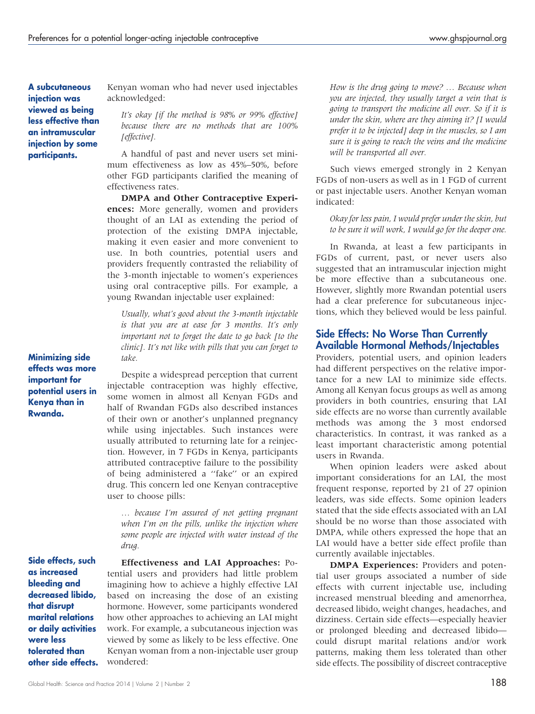A subcutaneous injection was viewed as being less effective than an intramuscular injection by some participants.

Kenyan woman who had never used injectables acknowledged:

It's okay [if the method is 98% or 99% effective] because there are no methods that are 100% [effective].

A handful of past and never users set minimum effectiveness as low as 45%–50%, before other FGD participants clarified the meaning of effectiveness rates.

DMPA and Other Contraceptive Experiences: More generally, women and providers thought of an LAI as extending the period of protection of the existing DMPA injectable, making it even easier and more convenient to use. In both countries, potential users and providers frequently contrasted the reliability of the 3-month injectable to women's experiences using oral contraceptive pills. For example, a young Rwandan injectable user explained:

Usually, what's good about the 3-month injectable is that you are at ease for 3 months. It's only important not to forget the date to go back [to the clinic]. It's not like with pills that you can forget to take.

Despite a widespread perception that current injectable contraception was highly effective, some women in almost all Kenyan FGDs and half of Rwandan FGDs also described instances of their own or another's unplanned pregnancy while using injectables. Such instances were usually attributed to returning late for a reinjection. However, in 7 FGDs in Kenya, participants attributed contraceptive failure to the possibility of being administered a ''fake'' or an expired drug. This concern led one Kenyan contraceptive user to choose pills:

… because I'm assured of not getting pregnant when I'm on the pills, unlike the injection where some people are injected with water instead of the drug.

Effectiveness and LAI Approaches: Potential users and providers had little problem imagining how to achieve a highly effective LAI based on increasing the dose of an existing hormone. However, some participants wondered how other approaches to achieving an LAI might work. For example, a subcutaneous injection was viewed by some as likely to be less effective. One Kenyan woman from a non-injectable user group wondered:

How is the drug going to move? … Because when you are injected, they usually target a vein that is going to transport the medicine all over. So if it is under the skin, where are they aiming it? [I would prefer it to be injected] deep in the muscles, so I am sure it is going to reach the veins and the medicine will be transported all over.

Such views emerged strongly in 2 Kenyan FGDs of non-users as well as in 1 FGD of current or past injectable users. Another Kenyan woman indicated:

Okay for less pain, I would prefer under the skin, but to be sure it will work, I would go for the deeper one.

In Rwanda, at least a few participants in FGDs of current, past, or never users also suggested that an intramuscular injection might be more effective than a subcutaneous one. However, slightly more Rwandan potential users had a clear preference for subcutaneous injections, which they believed would be less painful.

### Side Effects: No Worse Than Currently Available Hormonal Methods/Injectables

Providers, potential users, and opinion leaders had different perspectives on the relative importance for a new LAI to minimize side effects. Among all Kenyan focus groups as well as among providers in both countries, ensuring that LAI side effects are no worse than currently available methods was among the 3 most endorsed characteristics. In contrast, it was ranked as a least important characteristic among potential users in Rwanda.

When opinion leaders were asked about important considerations for an LAI, the most frequent response, reported by 21 of 27 opinion leaders, was side effects. Some opinion leaders stated that the side effects associated with an LAI should be no worse than those associated with DMPA, while others expressed the hope that an LAI would have a better side effect profile than currently available injectables.

DMPA Experiences: Providers and potential user groups associated a number of side effects with current injectable use, including increased menstrual bleeding and amenorrhea, decreased libido, weight changes, headaches, and dizziness. Certain side effects—especially heavier or prolonged bleeding and decreased libido could disrupt marital relations and/or work patterns, making them less tolerated than other side effects. The possibility of discreet contraceptive

Minimizing side effects was more important for potential users in Kenya than in Rwanda.

Side effects, such as increased bleeding and decreased libido, that disrupt marital relations or daily activities were less tolerated than other side effects.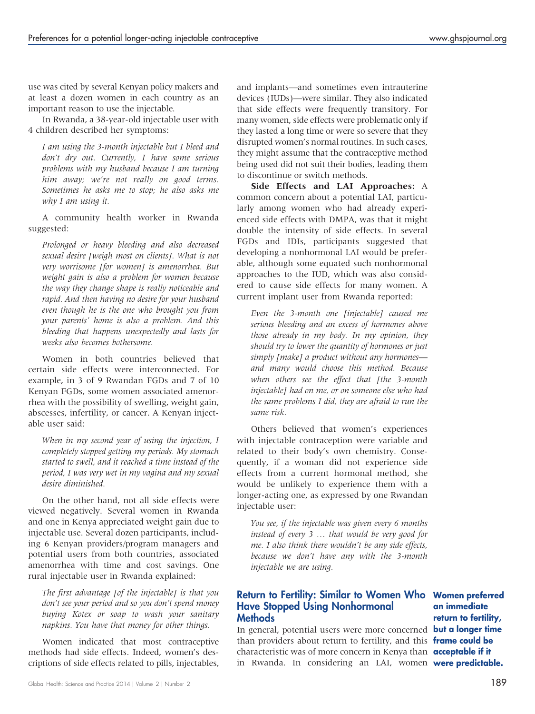use was cited by several Kenyan policy makers and at least a dozen women in each country as an important reason to use the injectable.

In Rwanda, a 38-year-old injectable user with 4 children described her symptoms:

I am using the 3-month injectable but I bleed and don't dry out. Currently, I have some serious problems with my husband because I am turning him away; we're not really on good terms. Sometimes he asks me to stop; he also asks me why I am using it.

A community health worker in Rwanda suggested:

Prolonged or heavy bleeding and also decreased sexual desire [weigh most on clients]. What is not very worrisome [for women] is amenorrhea. But weight gain is also a problem for women because the way they change shape is really noticeable and rapid. And then having no desire for your husband even though he is the one who brought you from your parents' home is also a problem. And this bleeding that happens unexpectedly and lasts for weeks also becomes bothersome.

Women in both countries believed that certain side effects were interconnected. For example, in 3 of 9 Rwandan FGDs and 7 of 10 Kenyan FGDs, some women associated amenorrhea with the possibility of swelling, weight gain, abscesses, infertility, or cancer. A Kenyan injectable user said:

When in my second year of using the injection, I completely stopped getting my periods. My stomach started to swell, and it reached a time instead of the period, I was very wet in my vagina and my sexual desire diminished.

On the other hand, not all side effects were viewed negatively. Several women in Rwanda and one in Kenya appreciated weight gain due to injectable use. Several dozen participants, including 6 Kenyan providers/program managers and potential users from both countries, associated amenorrhea with time and cost savings. One rural injectable user in Rwanda explained:

The first advantage [of the injectable] is that you don't see your period and so you don't spend money buying Kotex or soap to wash your sanitary napkins. You have that money for other things.

Women indicated that most contraceptive methods had side effects. Indeed, women's descriptions of side effects related to pills, injectables,

and implants—and sometimes even intrauterine devices (IUDs)—were similar. They also indicated that side effects were frequently transitory. For many women, side effects were problematic only if they lasted a long time or were so severe that they disrupted women's normal routines. In such cases, they might assume that the contraceptive method being used did not suit their bodies, leading them to discontinue or switch methods.

Side Effects and LAI Approaches: A common concern about a potential LAI, particularly among women who had already experienced side effects with DMPA, was that it might double the intensity of side effects. In several FGDs and IDIs, participants suggested that developing a nonhormonal LAI would be preferable, although some equated such nonhormonal approaches to the IUD, which was also considered to cause side effects for many women. A current implant user from Rwanda reported:

Even the 3-month one [injectable] caused me serious bleeding and an excess of hormones above those already in my body. In my opinion, they should try to lower the quantity of hormones or just simply [make] a product without any hormonesand many would choose this method. Because when others see the effect that [the 3-month injectable] had on me, or on someone else who had the same problems I did, they are afraid to run the same risk.

Others believed that women's experiences with injectable contraception were variable and related to their body's own chemistry. Consequently, if a woman did not experience side effects from a current hormonal method, she would be unlikely to experience them with a longer-acting one, as expressed by one Rwandan injectable user:

You see, if the injectable was given every 6 months instead of every 3 … that would be very good for me. I also think there wouldn't be any side effects, because we don't have any with the 3-month injectable we are using.

### Return to Fertility: Similar to Women Who Women preferred Have Stopped Using Nonhormonal **Methods**

In general, potential users were more concerned but a longer time than providers about return to fertility, and this frame could be characteristic was of more concern in Kenya than **acceptable if it** in Rwanda. In considering an LAI, women **were-predictable.** 

an immediate return to fertility,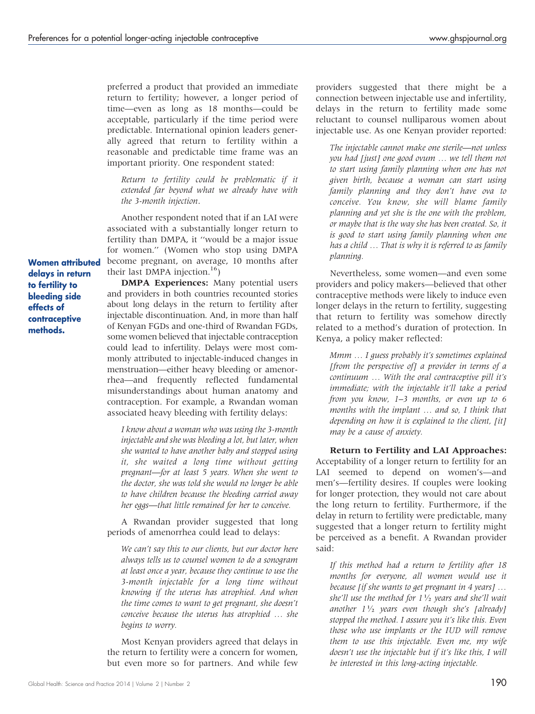preferred a product that provided an immediate return to fertility; however, a longer period of time—even as long as 18 months—could be acceptable, particularly if the time period were predictable. International opinion leaders generally agreed that return to fertility within a reasonable and predictable time frame was an important priority. One respondent stated:

Return to fertility could be problematic if it extended far beyond what we already have with the 3-month injection.

Another respondent noted that if an LAI were associated with a substantially longer return to fertility than DMPA, it ''would be a major issue for women.'' (Women who stop using DMPA become pregnant, on average, 10 months after their last DMPA injection.<sup>16</sup>)

DMPA Experiences: Many potential users and providers in both countries recounted stories about long delays in the return to fertility after injectable discontinuation. And, in more than half of Kenyan FGDs and one-third of Rwandan FGDs, some women believed that injectable contraception could lead to infertility. Delays were most commonly attributed to injectable-induced changes in menstruation—either heavy bleeding or amenorrhea—and frequently reflected fundamental misunderstandings about human anatomy and contraception. For example, a Rwandan woman associated heavy bleeding with fertility delays:

I know about a woman who was using the 3-month injectable and she was bleeding a lot, but later, when she wanted to have another baby and stopped using it, she waited a long time without getting pregnant—for at least 5 years. When she went to the doctor, she was told she would no longer be able to have children because the bleeding carried away her eggs—that little remained for her to conceive.

A Rwandan provider suggested that long periods of amenorrhea could lead to delays:

We can't say this to our clients, but our doctor here always tells us to counsel women to do a sonogram at least once a year, because they continue to use the 3-month injectable for a long time without knowing if the uterus has atrophied. And when the time comes to want to get pregnant, she doesn't conceive because the uterus has atrophied … she begins to worry.

Most Kenyan providers agreed that delays in the return to fertility were a concern for women, but even more so for partners. And while few providers suggested that there might be a connection between injectable use and infertility, delays in the return to fertility made some reluctant to counsel nulliparous women about injectable use. As one Kenyan provider reported:

The injectable cannot make one sterile—not unless you had [just] one good ovum … we tell them not to start using family planning when one has not given birth, because a woman can start using family planning and they don't have ova to conceive. You know, she will blame family planning and yet she is the one with the problem, or maybe that is the way she has been created. So, it is good to start using family planning when one has a child … That is why it is referred to as family planning.

Nevertheless, some women—and even some providers and policy makers—believed that other contraceptive methods were likely to induce even longer delays in the return to fertility, suggesting that return to fertility was somehow directly related to a method's duration of protection. In Kenya, a policy maker reflected:

Mmm … I guess probably it's sometimes explained [from the perspective of] a provider in terms of a continuum … With the oral contraceptive pill it's immediate; with the injectable it'll take a period from you know, 1–3 months, or even up to 6 months with the implant … and so, I think that depending on how it is explained to the client, [it] may be a cause of anxiety.

Return to Fertility and LAI Approaches: Acceptability of a longer return to fertility for an LAI seemed to depend on women's—and men's—fertility desires. If couples were looking for longer protection, they would not care about the long return to fertility. Furthermore, if the delay in return to fertility were predictable, many suggested that a longer return to fertility might be perceived as a benefit. A Rwandan provider said:

If this method had a return to fertility after 18 months for everyone, all women would use it because [if she wants to get pregnant in 4 years] … she'll use the method for  $1\frac{1}{2}$  years and she'll wait another  $1\frac{1}{2}$  years even though she's [already] stopped the method. I assure you it's like this. Even those who use implants or the IUD will remove them to use this injectable. Even me, my wife doesn't use the injectable but if it's like this, I will be interested in this long-acting injectable.

Women attributed delays in return to fertility to bleeding side effects of contraceptive methods.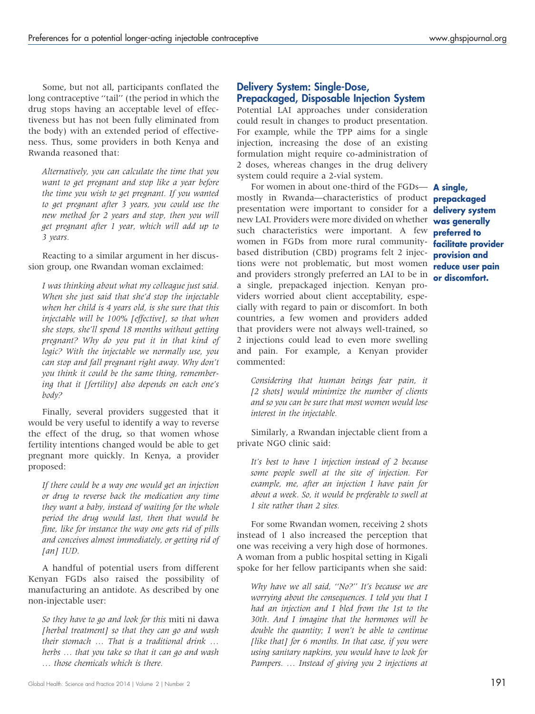Some, but not all, participants conflated the long contraceptive "tail" (the period in which the drug stops having an acceptable level of effectiveness but has not been fully eliminated from the body) with an extended period of effectiveness. Thus, some providers in both Kenya and Rwanda reasoned that:

Alternatively, you can calculate the time that you want to get pregnant and stop like a year before the time you wish to get pregnant. If you wanted to get pregnant after 3 years, you could use the new method for 2 years and stop, then you will get pregnant after 1 year, which will add up to 3 years.

Reacting to a similar argument in her discussion group, one Rwandan woman exclaimed:

I was thinking about what my colleague just said. When she just said that she'd stop the injectable when her child is 4 years old, is she sure that this injectable will be 100% [effective], so that when she stops, she'll spend 18 months without getting pregnant? Why do you put it in that kind of logic? With the injectable we normally use, you can stop and fall pregnant right away. Why don't you think it could be the same thing, remembering that it [fertility] also depends on each one's body?

Finally, several providers suggested that it would be very useful to identify a way to reverse the effect of the drug, so that women whose fertility intentions changed would be able to get pregnant more quickly. In Kenya, a provider proposed:

If there could be a way one would get an injection or drug to reverse back the medication any time they want a baby, instead of waiting for the whole period the drug would last, then that would be fine, like for instance the way one gets rid of pills and conceives almost immediately, or getting rid of [an] IUD.

A handful of potential users from different Kenyan FGDs also raised the possibility of manufacturing an antidote. As described by one non-injectable user:

So they have to go and look for this miti ni dawa [herbal treatment] so that they can go and wash their stomach … That is a traditional drink … herbs … that you take so that it can go and wash … those chemicals which is there.

### Delivery System: Single-Dose, Prepackaged, Disposable Injection System

Potential LAI approaches under consideration could result in changes to product presentation. For example, while the TPP aims for a single injection, increasing the dose of an existing formulation might require co-administration of 2 doses, whereas changes in the drug delivery system could require a 2-vial system.

For women in about one-third of the FGDs— **A single,** mostly in Rwanda—characteristics of product **prepackaged** presentation were important to consider for a **delivery system** new LAI. Providers were more divided on whether such characteristics were important. A few women in FGDs from more rural communitybased distribution (CBD) programs felt 2 injections were not problematic, but most women and providers strongly preferred an LAI to be in a single, prepackaged injection. Kenyan providers worried about client acceptability, especially with regard to pain or discomfort. In both countries, a few women and providers added that providers were not always well-trained, so 2 injections could lead to even more swelling and pain. For example, a Kenyan provider commented:

Considering that human beings fear pain, it [2 shots] would minimize the number of clients and so you can be sure that most women would lose interest in the injectable.

Similarly, a Rwandan injectable client from a private NGO clinic said:

It's best to have 1 injection instead of 2 because some people swell at the site of injection. For example, me, after an injection I have pain for about a week. So, it would be preferable to swell at 1 site rather than 2 sites.

For some Rwandan women, receiving 2 shots instead of 1 also increased the perception that one was receiving a very high dose of hormones. A woman from a public hospital setting in Kigali spoke for her fellow participants when she said:

Why have we all said, ''No?'' It's because we are worrying about the consequences. I told you that I had an injection and I bled from the 1st to the 30th. And I imagine that the hormones will be double the quantity; I won't be able to continue [like that] for 6 months. In that case, if you were using sanitary napkins, you would have to look for Pampers. … Instead of giving you 2 injections at

was generally preferred to facilitate provider provision and reduce user pain or discomfort.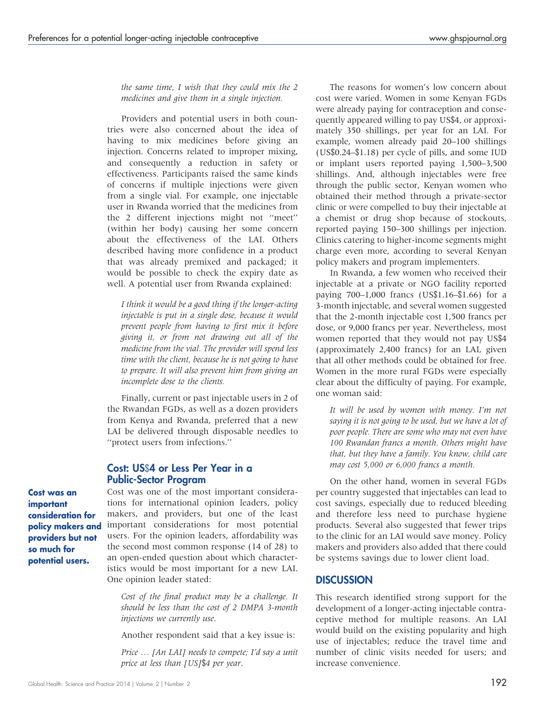the same time, I wish that they could mix the 2 medicines and give them in a single injection.

Providers and potential users in both countries were also concerned about the idea of having to mix medicines before giving an injection. Concerns related to improper mixing, and consequently a reduction in safety or effectiveness. Participants raised the same kinds of concerns if multiple injections were given from a single vial. For example, one injectable user in Rwanda worried that the medicines from the 2 different injections might not ''meet'' (within her body) causing her some concern about the effectiveness of the LAI. Others described having more confidence in a product that was already premixed and packaged; it would be possible to check the expiry date as well. A potential user from Rwanda explained:

I think it would be a good thing if the longer-acting injectable is put in a single dose, because it would prevent people from having to first mix it before giving it, or from not drawing out all of the medicine from the vial. The provider will spend less time with the client, because he is not going to have to prepare. It will also prevent him from giving an incomplete dose to the clients.

Finally, current or past injectable users in 2 of the Rwandan FGDs, as well as a dozen providers from Kenya and Rwanda, preferred that a new LAI be delivered through disposable needles to ''protect users from infections.''

### Cost: US\$4 or Less Per Year in a Public-Sector Program

Cost was an important consideration for policy makers and providers but not so much for potential users.

Cost was one of the most important considerations for international opinion leaders, policy makers, and providers, but one of the least important considerations for most potential users. For the opinion leaders, affordability was the second most common response (14 of 28) to an open-ended question about which characteristics would be most important for a new LAI. One opinion leader stated:

Cost of the final product may be a challenge. It should be less than the cost of 2 DMPA 3-month injections we currently use.

Another respondent said that a key issue is:

Price ... [An LAI] needs to compete; I'd say a unit price at less than [US]\$4 per year.

The reasons for women's low concern about cost were varied. Women in some Kenyan FGDs were already paying for contraception and consequently appeared willing to pay US\$4, or approximately 350 shillings, per year for an LAI. For example, women already paid 20–100 shillings (US\$0.24–\$1.18) per cycle of pills, and some IUD or implant users reported paying 1,500–3,500 shillings. And, although injectables were free through the public sector, Kenyan women who obtained their method through a private-sector clinic or were compelled to buy their injectable at a chemist or drug shop because of stockouts, reported paying 150–300 shillings per injection. Clinics catering to higher-income segments might charge even more, according to several Kenyan policy makers and program implementers.

In Rwanda, a few women who received their injectable at a private or NGO facility reported paying 700–1,000 francs (US\$1.16–\$1.66) for a 3-month injectable, and several women suggested that the 2-month injectable cost 1,500 francs per dose, or 9,000 francs per year. Nevertheless, most women reported that they would not pay US\$4 (approximately 2,400 francs) for an LAI, given that all other methods could be obtained for free. Women in the more rural FGDs were especially clear about the difficulty of paying. For example, one woman said:

It will be used by women with money. I'm not saying it is not going to be used, but we have a lot of poor people. There are some who may not even have 100 Rwandan francs a month. Others might have that, but they have a family. You know, child care may cost 5,000 or 6,000 francs a month.

On the other hand, women in several FGDs per country suggested that injectables can lead to cost savings, especially due to reduced bleeding and therefore less need to purchase hygiene products. Several also suggested that fewer trips to the clinic for an LAI would save money. Policy makers and providers also added that there could be systems savings due to lower client load.

### **DISCUSSION**

This research identified strong support for the development of a longer-acting injectable contraceptive method for multiple reasons. An LAI would build on the existing popularity and high use of injectables; reduce the travel time and number of clinic visits needed for users; and increase convenience.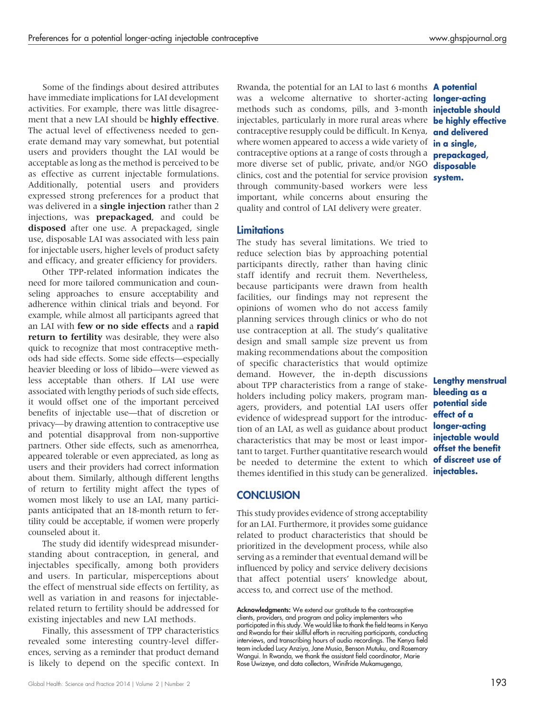Some of the findings about desired attributes have immediate implications for LAI development activities. For example, there was little disagreement that a new LAI should be **highly effective**. The actual level of effectiveness needed to generate demand may vary somewhat, but potential users and providers thought the LAI would be acceptable as long as the method is perceived to be as effective as current injectable formulations. Additionally, potential users and providers expressed strong preferences for a product that was delivered in a **single injection** rather than 2 injections, was **prepackaged**, and could be disposed after one use. A prepackaged, single use, disposable LAI was associated with less pain for injectable users, higher levels of product safety and efficacy, and greater efficiency for providers.

Other TPP-related information indicates the need for more tailored communication and counseling approaches to ensure acceptability and adherence within clinical trials and beyond. For example, while almost all participants agreed that an LAI with few or no side effects and a rapid return to fertility was desirable, they were also quick to recognize that most contraceptive methods had side effects. Some side effects—especially heavier bleeding or loss of libido—were viewed as less acceptable than others. If LAI use were associated with lengthy periods of such side effects, it would offset one of the important perceived benefits of injectable use—that of discretion or privacy—by drawing attention to contraceptive use and potential disapproval from non-supportive partners. Other side effects, such as amenorrhea, appeared tolerable or even appreciated, as long as users and their providers had correct information about them. Similarly, although different lengths of return to fertility might affect the types of women most likely to use an LAI, many participants anticipated that an 18-month return to fertility could be acceptable, if women were properly counseled about it.

The study did identify widespread misunderstanding about contraception, in general, and injectables specifically, among both providers and users. In particular, misperceptions about the effect of menstrual side effects on fertility, as well as variation in and reasons for injectablerelated return to fertility should be addressed for existing injectables and new LAI methods.

Finally, this assessment of TPP characteristics revealed some interesting country-level differences, serving as a reminder that product demand is likely to depend on the specific context. In

Rwanda, the potential for an LAI to last 6 months **A potential** was a welcome alternative to shorter-acting longer-acting methods such as condoms, pills, and 3-month **injectable should** injectables, particularly in more rural areas where **be highly effective** contraceptive resupply could be difficult. In Kenya, and delivered where women appeared to access a wide variety of **in a single,** contraceptive options at a range of costs through a more diverse set of public, private, and/or NGO **disposable** clinics, cost and the potential for service provision system. through community-based workers were less important, while concerns about ensuring the quality and control of LAI delivery were greater.

# prepackaged,

### **Limitations**

The study has several limitations. We tried to reduce selection bias by approaching potential participants directly, rather than having clinic staff identify and recruit them. Nevertheless, because participants were drawn from health facilities, our findings may not represent the opinions of women who do not access family planning services through clinics or who do not use contraception at all. The study's qualitative design and small sample size prevent us from making recommendations about the composition of specific characteristics that would optimize demand. However, the in-depth discussions about TPP characteristics from a range of stakeholders including policy makers, program managers, providers, and potential LAI users offer evidence of widespread support for the introduction of an LAI, as well as guidance about product characteristics that may be most or least important to target. Further quantitative research would be needed to determine the extent to which themes identified in this study can be generalized.

Lengthy menstrual bleeding as a potential side effect of a longer-acting injectable would offset the benefit of discreet use of injectables.

### **CONCLUSION**

This study provides evidence of strong acceptability for an LAI. Furthermore, it provides some guidance related to product characteristics that should be prioritized in the development process, while also serving as a reminder that eventual demand will be influenced by policy and service delivery decisions that affect potential users' knowledge about, access to, and correct use of the method.

Acknowledgments: We extend our gratitude to the contraceptive clients, providers, and program and policy implementers who participated in this study. We would like to thank the field teams in Kenya and Rwanda for their skillful efforts in recruiting participants, conducting interviews, and transcribing hours of audio recordings. The Kenya field team included Lucy Anziya, Jane Musia, Benson Mutuku, and Rosemary Wangui. In Rwanda, we thank the assistant field coordinator, Marie Rose Uwizeye, and data collectors, Winifride Mukamugenga,